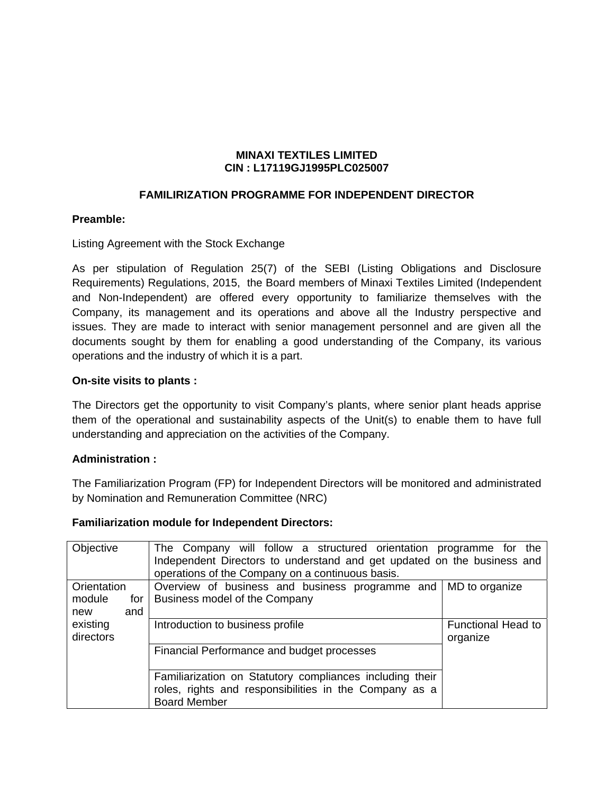#### **MINAXI TEXTILES LIMITED CIN : L17119GJ1995PLC025007**

# **FAMILIRIZATION PROGRAMME FOR INDEPENDENT DIRECTOR**

### **Preamble:**

Listing Agreement with the Stock Exchange

As per stipulation of Regulation 25(7) of the SEBI (Listing Obligations and Disclosure Requirements) Regulations, 2015, the Board members of Minaxi Textiles Limited (Independent and Non-Independent) are offered every opportunity to familiarize themselves with the Company, its management and its operations and above all the Industry perspective and issues. They are made to interact with senior management personnel and are given all the documents sought by them for enabling a good understanding of the Company, its various operations and the industry of which it is a part.

## **On-site visits to plants :**

The Directors get the opportunity to visit Company's plants, where senior plant heads apprise them of the operational and sustainability aspects of the Unit(s) to enable them to have full understanding and appreciation on the activities of the Company.

#### **Administration :**

The Familiarization Program (FP) for Independent Directors will be monitored and administrated by Nomination and Remuneration Committee (NRC)

| Objective                                | The Company will follow a structured orientation programme for the<br>Independent Directors to understand and get updated on the business and<br>operations of the Company on a continuous basis. |                                       |
|------------------------------------------|---------------------------------------------------------------------------------------------------------------------------------------------------------------------------------------------------|---------------------------------------|
| Orientation                              | Overview of business and business programme and MD to organize                                                                                                                                    |                                       |
| module<br>for <sub>l</sub><br>and<br>new | Business model of the Company                                                                                                                                                                     |                                       |
| existing<br>directors                    | Introduction to business profile                                                                                                                                                                  | <b>Functional Head to</b><br>organize |
|                                          | Financial Performance and budget processes                                                                                                                                                        |                                       |
|                                          | Familiarization on Statutory compliances including their<br>roles, rights and responsibilities in the Company as a                                                                                |                                       |
|                                          | <b>Board Member</b>                                                                                                                                                                               |                                       |

## **Familiarization module for Independent Directors:**